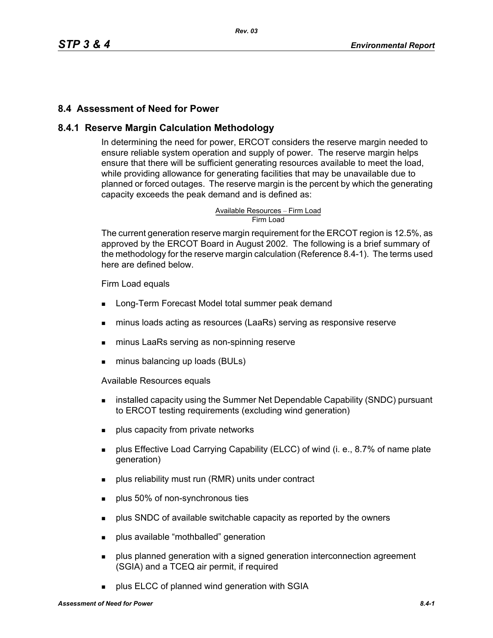### **8.4 Assessment of Need for Power**

### **8.4.1 Reserve Margin Calculation Methodology**

In determining the need for power, ERCOT considers the reserve margin needed to ensure reliable system operation and supply of power. The reserve margin helps ensure that there will be sufficient generating resources available to meet the load, while providing allowance for generating facilities that may be unavailable due to planned or forced outages. The reserve margin is the percent by which the generating capacity exceeds the peak demand and is defined as:

Available Resources – Firm Load<br>Firm Load

The current generation reserve margin requirement for the ERCOT region is 12.5%, as approved by the ERCOT Board in August 2002. The following is a brief summary of the methodology for the reserve margin calculation (Reference 8.4-1). The terms used here are defined below.

Firm Load equals

- **Long-Term Forecast Model total summer peak demand**
- minus loads acting as resources (LaaRs) serving as responsive reserve
- **numinus LaaRs serving as non-spinning reserve**
- **minus balancing up loads (BULs)**

Available Resources equals

- **EXEDENT** installed capacity using the Summer Net Dependable Capability (SNDC) pursuant to ERCOT testing requirements (excluding wind generation)
- **plus capacity from private networks**
- **Property Effective Load Carrying Capability (ELCC) of wind (i. e., 8.7% of name plate** generation)
- **Produs reliability must run (RMR) units under contract**
- **plus 50% of non-synchronous ties**
- **Propelled** SNDC of available switchable capacity as reported by the owners
- **plus available "mothballed" generation**
- **Property** plus planned generation with a signed generation interconnection agreement (SGIA) and a TCEQ air permit, if required
- plus ELCC of planned wind generation with SGIA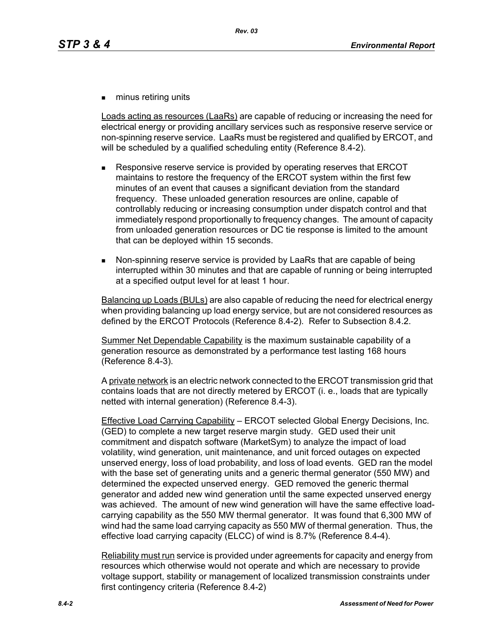**numinus retiring units** 

Loads acting as resources (LaaRs) are capable of reducing or increasing the need for electrical energy or providing ancillary services such as responsive reserve service or non-spinning reserve service. LaaRs must be registered and qualified by ERCOT, and will be scheduled by a qualified scheduling entity (Reference 8.4-2).

- Responsive reserve service is provided by operating reserves that ERCOT maintains to restore the frequency of the ERCOT system within the first few minutes of an event that causes a significant deviation from the standard frequency. These unloaded generation resources are online, capable of controllably reducing or increasing consumption under dispatch control and that immediately respond proportionally to frequency changes. The amount of capacity from unloaded generation resources or DC tie response is limited to the amount that can be deployed within 15 seconds.
- Non-spinning reserve service is provided by LaaRs that are capable of being interrupted within 30 minutes and that are capable of running or being interrupted at a specified output level for at least 1 hour.

Balancing up Loads (BULs) are also capable of reducing the need for electrical energy when providing balancing up load energy service, but are not considered resources as defined by the ERCOT Protocols (Reference 8.4-2). Refer to Subsection 8.4.2.

Summer Net Dependable Capability is the maximum sustainable capability of a generation resource as demonstrated by a performance test lasting 168 hours (Reference 8.4-3).

A private network is an electric network connected to the ERCOT transmission grid that contains loads that are not directly metered by ERCOT (i. e., loads that are typically netted with internal generation) (Reference 8.4-3).

Effective Load Carrying Capability – ERCOT selected Global Energy Decisions, Inc. (GED) to complete a new target reserve margin study. GED used their unit commitment and dispatch software (MarketSym) to analyze the impact of load volatility, wind generation, unit maintenance, and unit forced outages on expected unserved energy, loss of load probability, and loss of load events. GED ran the model with the base set of generating units and a generic thermal generator (550 MW) and determined the expected unserved energy. GED removed the generic thermal generator and added new wind generation until the same expected unserved energy was achieved. The amount of new wind generation will have the same effective loadcarrying capability as the 550 MW thermal generator. It was found that 6,300 MW of wind had the same load carrying capacity as 550 MW of thermal generation. Thus, the effective load carrying capacity (ELCC) of wind is 8.7% (Reference 8.4-4).

Reliability must run service is provided under agreements for capacity and energy from resources which otherwise would not operate and which are necessary to provide voltage support, stability or management of localized transmission constraints under first contingency criteria (Reference 8.4-2)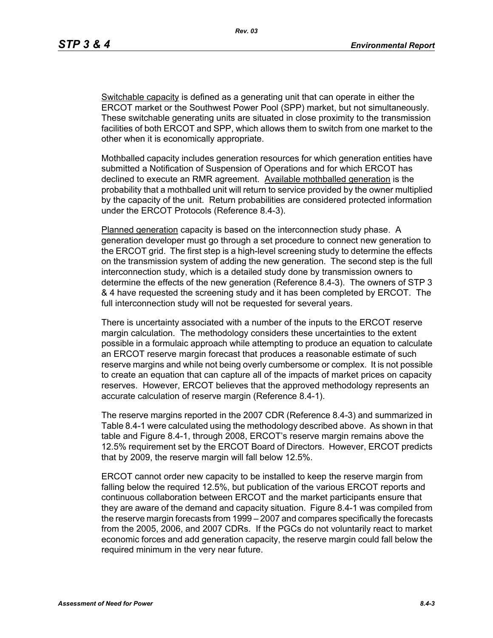*Rev. 03*

Switchable capacity is defined as a generating unit that can operate in either the ERCOT market or the Southwest Power Pool (SPP) market, but not simultaneously. These switchable generating units are situated in close proximity to the transmission facilities of both ERCOT and SPP, which allows them to switch from one market to the other when it is economically appropriate.

Mothballed capacity includes generation resources for which generation entities have submitted a Notification of Suspension of Operations and for which ERCOT has declined to execute an RMR agreement. Available mothballed generation is the probability that a mothballed unit will return to service provided by the owner multiplied by the capacity of the unit. Return probabilities are considered protected information under the ERCOT Protocols (Reference 8.4-3).

Planned generation capacity is based on the interconnection study phase. A generation developer must go through a set procedure to connect new generation to the ERCOT grid. The first step is a high-level screening study to determine the effects on the transmission system of adding the new generation. The second step is the full interconnection study, which is a detailed study done by transmission owners to determine the effects of the new generation (Reference 8.4-3). The owners of STP 3 & 4 have requested the screening study and it has been completed by ERCOT. The full interconnection study will not be requested for several years.

There is uncertainty associated with a number of the inputs to the ERCOT reserve margin calculation. The methodology considers these uncertainties to the extent possible in a formulaic approach while attempting to produce an equation to calculate an ERCOT reserve margin forecast that produces a reasonable estimate of such reserve margins and while not being overly cumbersome or complex. It is not possible to create an equation that can capture all of the impacts of market prices on capacity reserves. However, ERCOT believes that the approved methodology represents an accurate calculation of reserve margin (Reference 8.4-1).

The reserve margins reported in the 2007 CDR (Reference 8.4-3) and summarized in Table 8.4-1 were calculated using the methodology described above. As shown in that table and Figure 8.4-1, through 2008, ERCOT's reserve margin remains above the 12.5% requirement set by the ERCOT Board of Directors. However, ERCOT predicts that by 2009, the reserve margin will fall below 12.5%.

ERCOT cannot order new capacity to be installed to keep the reserve margin from falling below the required 12.5%, but publication of the various ERCOT reports and continuous collaboration between ERCOT and the market participants ensure that they are aware of the demand and capacity situation. Figure 8.4-1 was compiled from the reserve margin forecasts from 1999 – 2007 and compares specifically the forecasts from the 2005, 2006, and 2007 CDRs. If the PGCs do not voluntarily react to market economic forces and add generation capacity, the reserve margin could fall below the required minimum in the very near future.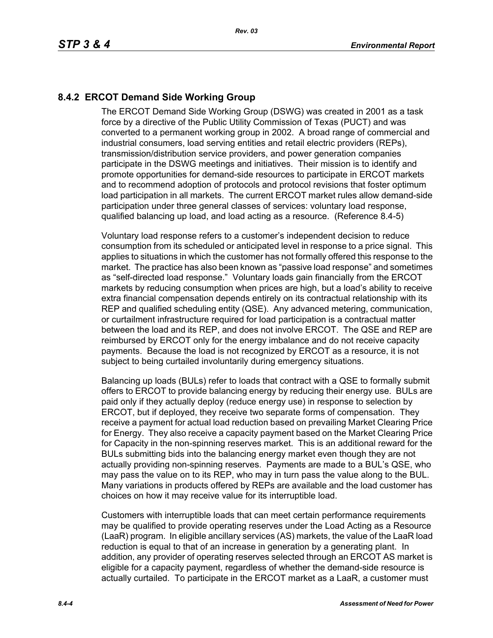# **8.4.2 ERCOT Demand Side Working Group**

The ERCOT Demand Side Working Group (DSWG) was created in 2001 as a task force by a directive of the Public Utility Commission of Texas (PUCT) and was converted to a permanent working group in 2002. A broad range of commercial and industrial consumers, load serving entities and retail electric providers (REPs), transmission/distribution service providers, and power generation companies participate in the DSWG meetings and initiatives. Their mission is to identify and promote opportunities for demand-side resources to participate in ERCOT markets and to recommend adoption of protocols and protocol revisions that foster optimum load participation in all markets. The current ERCOT market rules allow demand-side participation under three general classes of services: voluntary load response, qualified balancing up load, and load acting as a resource. (Reference 8.4-5)

Voluntary load response refers to a customer's independent decision to reduce consumption from its scheduled or anticipated level in response to a price signal. This applies to situations in which the customer has not formally offered this response to the market. The practice has also been known as "passive load response" and sometimes as "self-directed load response." Voluntary loads gain financially from the ERCOT markets by reducing consumption when prices are high, but a load's ability to receive extra financial compensation depends entirely on its contractual relationship with its REP and qualified scheduling entity (QSE). Any advanced metering, communication, or curtailment infrastructure required for load participation is a contractual matter between the load and its REP, and does not involve ERCOT. The QSE and REP are reimbursed by ERCOT only for the energy imbalance and do not receive capacity payments. Because the load is not recognized by ERCOT as a resource, it is not subject to being curtailed involuntarily during emergency situations.

Balancing up loads (BULs) refer to loads that contract with a QSE to formally submit offers to ERCOT to provide balancing energy by reducing their energy use. BULs are paid only if they actually deploy (reduce energy use) in response to selection by ERCOT, but if deployed, they receive two separate forms of compensation. They receive a payment for actual load reduction based on prevailing Market Clearing Price for Energy. They also receive a capacity payment based on the Market Clearing Price for Capacity in the non-spinning reserves market. This is an additional reward for the BULs submitting bids into the balancing energy market even though they are not actually providing non-spinning reserves. Payments are made to a BUL's QSE, who may pass the value on to its REP, who may in turn pass the value along to the BUL. Many variations in products offered by REPs are available and the load customer has choices on how it may receive value for its interruptible load.

Customers with interruptible loads that can meet certain performance requirements may be qualified to provide operating reserves under the Load Acting as a Resource (LaaR) program. In eligible ancillary services (AS) markets, the value of the LaaR load reduction is equal to that of an increase in generation by a generating plant. In addition, any provider of operating reserves selected through an ERCOT AS market is eligible for a capacity payment, regardless of whether the demand-side resource is actually curtailed. To participate in the ERCOT market as a LaaR, a customer must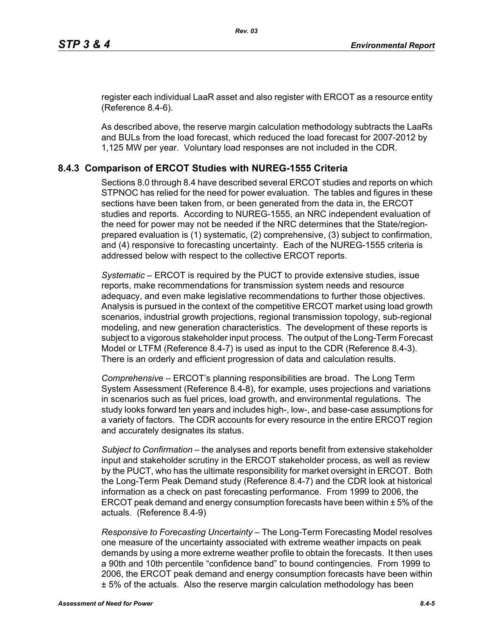[register each individual LaaR asset and also register with ERCOT as a resource entity](http://www.ercot.com/services/rq/re/index.html)  (Reference 8.4-6).

As described above, the reserve margin calculation methodology subtracts the LaaRs and BULs from the load forecast, which reduced the load forecast for 2007-2012 by 1,125 MW per year. Voluntary load responses are not included in the CDR.

#### **8.4.3 Comparison of ERCOT Studies with NUREG-1555 Criteria**

Sections 8.0 through 8.4 have described several ERCOT studies and reports on which STPNOC has relied for the need for power evaluation. The tables and figures in these sections have been taken from, or been generated from the data in, the ERCOT studies and reports. According to NUREG-1555, an NRC independent evaluation of the need for power may not be needed if the NRC determines that the State/regionprepared evaluation is (1) systematic, (2) comprehensive, (3) subject to confirmation, and (4) responsive to forecasting uncertainty. Each of the NUREG-1555 criteria is addressed below with respect to the collective ERCOT reports.

*Systematic* – ERCOT is required by the PUCT to provide extensive studies, issue reports, make recommendations for transmission system needs and resource adequacy, and even make legislative recommendations to further those objectives. Analysis is pursued in the context of the competitive ERCOT market using load growth scenarios, industrial growth projections, regional transmission topology, sub-regional modeling, and new generation characteristics. The development of these reports is subject to a vigorous stakeholder input process. The output of the Long-Term Forecast Model or LTFM (Reference 8.4-7) is used as input to the CDR (Reference 8.4-3). There is an orderly and efficient progression of data and calculation results.

*Comprehensive* – ERCOT's planning responsibilities are broad. The Long Term System Assessment (Reference 8.4-8), for example, uses projections and variations in scenarios such as fuel prices, load growth, and environmental regulations. The study looks forward ten years and includes high-, low-, and base-case assumptions for a variety of factors. The CDR accounts for every resource in the entire ERCOT region and accurately designates its status.

*Subject to Confirmation* – the analyses and reports benefit from extensive stakeholder input and stakeholder scrutiny in the ERCOT stakeholder process, as well as review by the PUCT, who has the ultimate responsibility for market oversight in ERCOT. Both the Long-Term Peak Demand study (Reference 8.4-7) and the CDR look at historical information as a check on past forecasting performance. From 1999 to 2006, the ERCOT peak demand and energy consumption forecasts have been within ± 5% of the actuals. (Reference 8.4-9)

*Responsive to Forecasting Uncertainty* – The Long-Term Forecasting Model resolves one measure of the uncertainty associated with extreme weather impacts on peak demands by using a more extreme weather profile to obtain the forecasts. It then uses a 90th and 10th percentile "confidence band" to bound contingencies. From 1999 to 2006, the ERCOT peak demand and energy consumption forecasts have been within ± 5% of the actuals. Also the reserve margin calculation methodology has been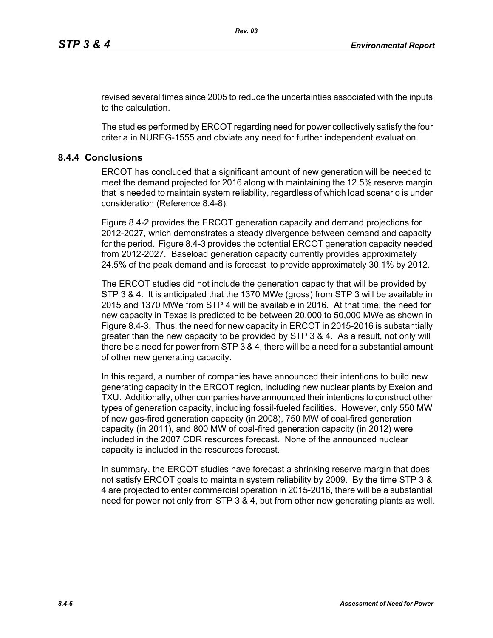revised several times since 2005 to reduce the uncertainties associated with the inputs to the calculation.

The studies performed by ERCOT regarding need for power collectively satisfy the four criteria in NUREG-1555 and obviate any need for further independent evaluation.

### **8.4.4 Conclusions**

ERCOT has concluded that a significant amount of new generation will be needed to meet the demand projected for 2016 along with maintaining the 12.5% reserve margin that is needed to maintain system reliability, regardless of which load scenario is under consideration (Reference 8.4-8).

Figure 8.4-2 provides the ERCOT generation capacity and demand projections for 2012-2027, which demonstrates a steady divergence between demand and capacity for the period. Figure 8.4-3 provides the potential ERCOT generation capacity needed from 2012-2027. Baseload generation capacity currently provides approximately 24.5% of the peak demand and is forecast to provide approximately 30.1% by 2012.

The ERCOT studies did not include the generation capacity that will be provided by STP 3 & 4. It is anticipated that the 1370 MWe (gross) from STP 3 will be available in 2015 and 1370 MWe from STP 4 will be available in 2016. At that time, the need for new capacity in Texas is predicted to be between 20,000 to 50,000 MWe as shown in Figure 8.4-3. Thus, the need for new capacity in ERCOT in 2015-2016 is substantially greater than the new capacity to be provided by STP 3 & 4. As a result, not only will there be a need for power from STP 3 & 4, there will be a need for a substantial amount of other new generating capacity.

In this regard, a number of companies have announced their intentions to build new generating capacity in the ERCOT region, including new nuclear plants by Exelon and TXU. Additionally, other companies have announced their intentions to construct other types of generation capacity, including fossil-fueled facilities. However, only 550 MW of new gas-fired generation capacity (in 2008), 750 MW of coal-fired generation capacity (in 2011), and 800 MW of coal-fired generation capacity (in 2012) were included in the 2007 CDR resources forecast. None of the announced nuclear capacity is included in the resources forecast.

In summary, the ERCOT studies have forecast a shrinking reserve margin that does not satisfy ERCOT goals to maintain system reliability by 2009. By the time STP 3 & 4 are projected to enter commercial operation in 2015-2016, there will be a substantial need for power not only from STP 3 & 4, but from other new generating plants as well.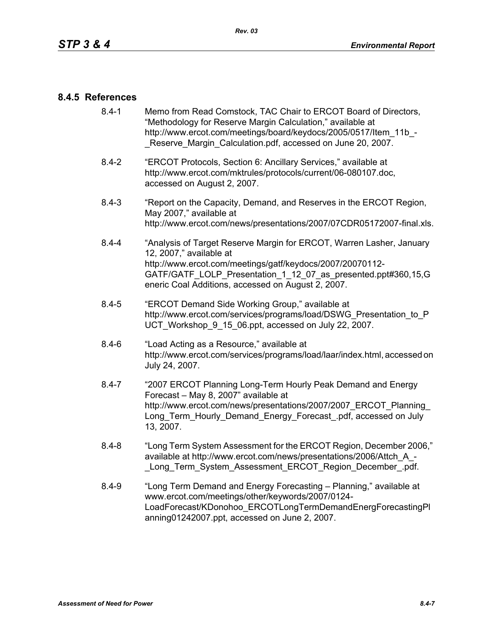#### **8.4.5 References**

- [8.4-1 Memo from Read Comstock, TAC Chair to ERCOT Board of Directors,](http://www.ercot.com/meetings/board/keydocs/2005/0517/Item_11b_-_Reserve_Margin_Calculation.pdf)  "Methodology for Reserve Margin Calculation," available at http://www.ercot.com/meetings/board/keydocs/2005/0517/Item\_11b\_-Reserve Margin Calculation.pdf, accessed on June 20, 2007.
- [8.4-2 "ERCOT Protocols, Section 6: Ancillary Services," available at](http://www.ercot.com/mktrules/protocols/current/06-080107.doc)  http://www.ercot.com/mktrules/protocols/current/06-080107.doc, accessed on August 2, 2007.
- 8.4-3 "Report on the Capacity, Demand, and Reserves in the ERCOT Region, May 2007," available at http://www.ercot.com/news/presentations/2007/07CDR05172007-final.xls.
- 8.4-4 "Analysis of Target Reserve Margin for ERCOT, Warren Lasher, January 12, 2007," available at http://www.ercot.com/meetings/gatf/keydocs/2007/20070112- GATF/GATF\_LOLP\_Presentation\_1\_12\_07\_as\_presented.ppt#360,15,G eneric Coal Additions, accessed on August 2, 2007.
- 8.4-5 "ERCOT Demand Side Working Group," available at [http://www.ercot.com/services/programs/load/DSWG\\_Presentation\\_to\\_P](http://www.ercot.com/services/programs/load/DSWG_Presentation_to_PUCT_Workshop_9_15_06.ppt) UCT\_Workshop\_9\_15\_06.ppt, accessed on July 22, 2007.
- 8.4-6 "Load Acting as a Resource," available at [http://www.ercot.com/services/programs/load/laar/index.html, accessed on](http://www.ercot.com/services/programs/load/laar/index.html)  July 24, 2007.
- [8.4-7 "2007 ERCOT Planning Long-Term Hourly Peak Demand and Energy](http://www.ercot.com/news/presentations/2007/2007_ERCOT_Planning_Long_Term_Hourly_Demand_Energy_Forecast_.pdf)  Forecast – May 8, 2007" available at http://www.ercot.com/news/presentations/2007/2007\_ERCOT\_Planning Long Term Hourly Demand Energy Forecast .pdf, accessed on July 13, 2007.
- 8.4-8 "Long Term System Assessment for the ERCOT Region, December 2006," available at http://www.ercot.com/news/presentations/2006/Attch\_A\_- Long Term System Assessment ERCOT Region December .pdf.
- 8.4-9 ["Long Term Demand and Energy Forecasting Planning," available at](http://www.ercot.com/meetings/other/keywords/2007/0124-LoadForecast/KDonohoo_ERCOTLongTermDemandEnergForecastingPlanning01242007.ppt)  www.ercot.com/meetings/other/keywords/2007/0124- [LoadForecast/KDonohoo\\_ERCOTLongTermDemandEnergForecastingPl](http://www.ercot.com/meetings/other/keywords/2007/0124-LoadForecast/KDonohoo_ERCOTLongTermDemandEnergForecastingPlanning01242007.ppt) [anning01242007.ppt, accessed on June 2, 2007.](http://www.ercot.com/meetings/other/keywords/2007/0124-LoadForecast/KDonohoo_ERCOTLongTermDemandEnergForecastingPlanning01242007.ppt)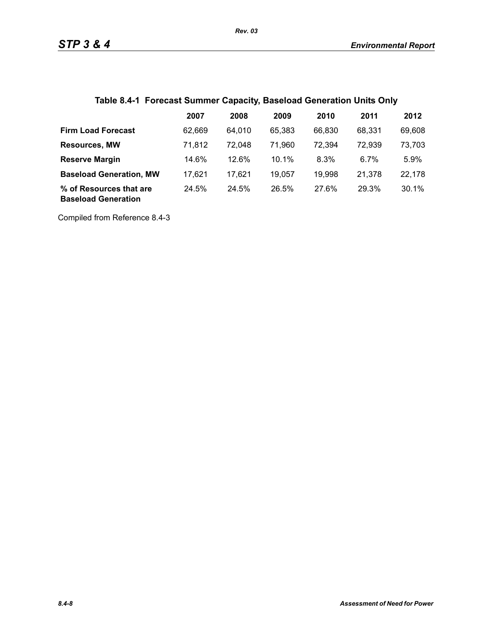# **Table 8.4-1 Forecast Summer Capacity, Baseload Generation Units Only**

|                                                       | 2007   | 2008   | 2009   | 2010   | 2011   | 2012   |
|-------------------------------------------------------|--------|--------|--------|--------|--------|--------|
| <b>Firm Load Forecast</b>                             | 62.669 | 64.010 | 65.383 | 66,830 | 68.331 | 69,608 |
| <b>Resources, MW</b>                                  | 71,812 | 72.048 | 71.960 | 72,394 | 72,939 | 73,703 |
| <b>Reserve Margin</b>                                 | 14.6%  | 12.6%  | 10.1%  | 8.3%   | 6.7%   | 5.9%   |
| <b>Baseload Generation, MW</b>                        | 17.621 | 17.621 | 19,057 | 19,998 | 21,378 | 22,178 |
| % of Resources that are<br><b>Baseload Generation</b> | 24.5%  | 24.5%  | 26.5%  | 27.6%  | 29.3%  | 30.1%  |

Compiled from Reference 8.4-3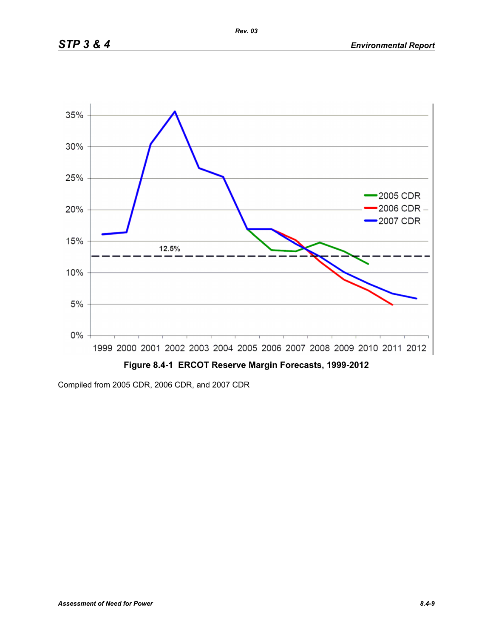

Compiled from 2005 CDR, 2006 CDR, and 2007 CDR

*Rev. 03*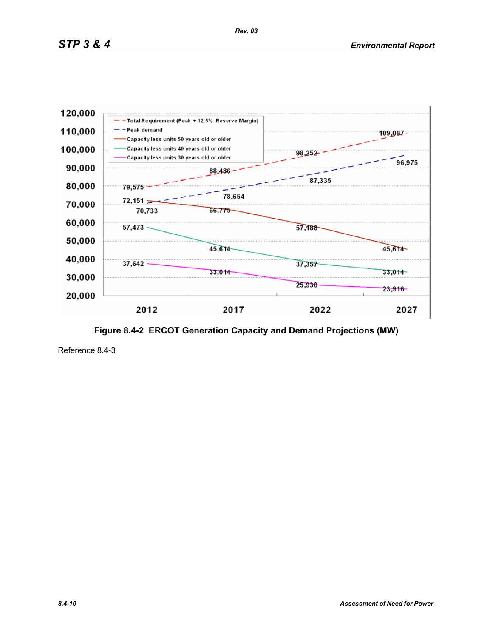

**Figure 8.4-2 ERCOT Generation Capacity and Demand Projections (MW)**

Reference 8.4-3